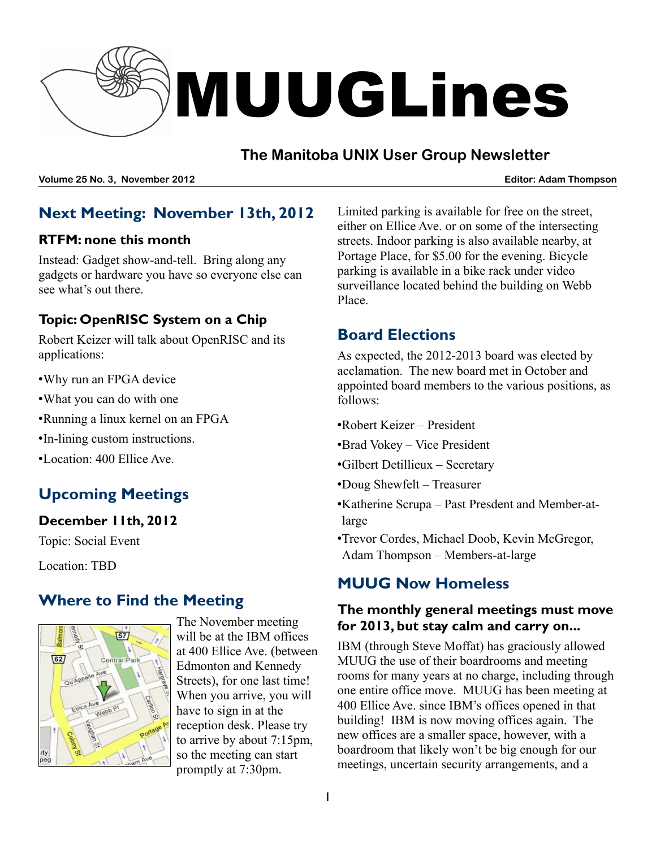

## **The Manitoba UNIX User Group Newsletter**

**Volume 25 No. 3, November 2012 Editor: Adam Thompson**

## **Next Meeting: November 13th, 2012**

#### **RTFM: none this month**

Instead: Gadget show-and-tell. Bring along any gadgets or hardware you have so everyone else can see what's out there.

#### **Topic: OpenRISC System on a Chip**

Robert Keizer will talk about OpenRISC and its applications:

- •Why run an FPGA device
- •What you can do with one
- •Running a linux kernel on an FPGA
- •In-lining custom instructions.
- •Location: 400 Ellice Ave.

# **Upcoming Meetings**

#### **December 11th, 2012**

Topic: Social Event

Location: TBD

### **Where to Find the Meeting**



The November meeting will be at the IBM offices at 400 Ellice Ave. (between Edmonton and Kennedy Streets), for one last time! When you arrive, you will have to sign in at the reception desk. Please try to arrive by about 7:15pm, so the meeting can start promptly at 7:30pm.

Limited parking is available for free on the street, either on Ellice Ave. or on some of the intersecting streets. Indoor parking is also available nearby, at Portage Place, for \$5.00 for the evening. Bicycle parking is available in a bike rack under video surveillance located behind the building on Webb Place.

## **Board Elections**

As expected, the 2012-2013 board was elected by acclamation. The new board met in October and appointed board members to the various positions, as follows:

- •Robert Keizer President
- •Brad Vokey Vice President
- •Gilbert Detillieux Secretary
- •Doug Shewfelt Treasurer
- •Katherine Scrupa Past Presdent and Member-atlarge
- •Trevor Cordes, Michael Doob, Kevin McGregor, Adam Thompson – Members-at-large

## **MUUG Now Homeless**

#### **The monthly general meetings must move for 2013, but stay calm and carry on...**

IBM (through Steve Moffat) has graciously allowed MUUG the use of their boardrooms and meeting rooms for many years at no charge, including through one entire office move. MUUG has been meeting at 400 Ellice Ave. since IBM's offices opened in that building! IBM is now moving offices again. The new offices are a smaller space, however, with a boardroom that likely won't be big enough for our meetings, uncertain security arrangements, and a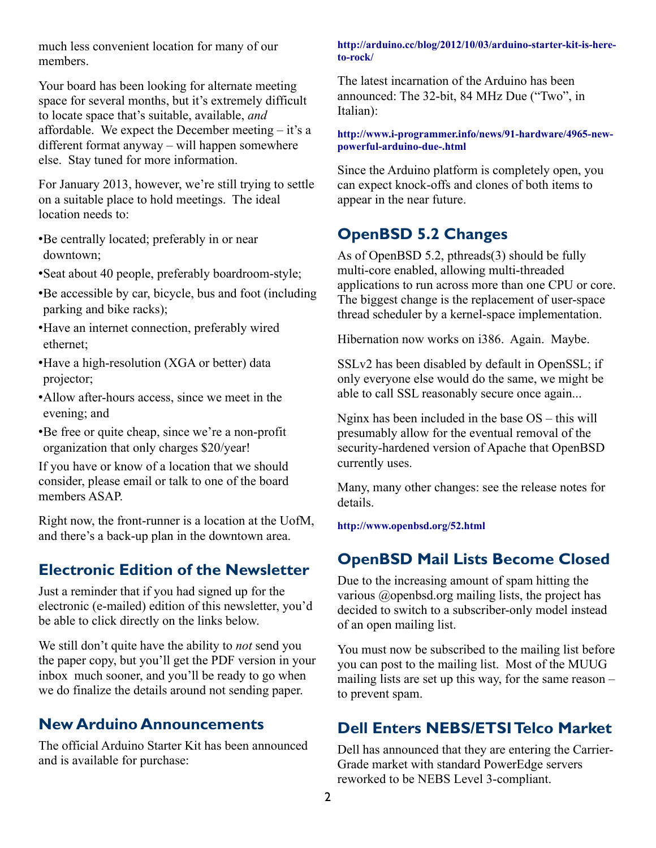much less convenient location for many of our members.

Your board has been looking for alternate meeting space for several months, but it's extremely difficult to locate space that's suitable, available, *and* affordable. We expect the December meeting – it's a different format anyway – will happen somewhere else. Stay tuned for more information.

For January 2013, however, we're still trying to settle on a suitable place to hold meetings. The ideal location needs to:

- •Be centrally located; preferably in or near downtown;
- •Seat about 40 people, preferably boardroom-style;
- •Be accessible by car, bicycle, bus and foot (including parking and bike racks);
- •Have an internet connection, preferably wired ethernet;
- •Have a high-resolution (XGA or better) data projector;
- •Allow after-hours access, since we meet in the evening; and
- •Be free or quite cheap, since we're a non-profit organization that only charges \$20/year!

If you have or know of a location that we should consider, please email or talk to one of the board members ASAP.

Right now, the front-runner is a location at the UofM, and there's a back-up plan in the downtown area.

#### **Electronic Edition of the Newsletter**

Just a reminder that if you had signed up for the electronic (e-mailed) edition of this newsletter, you'd be able to click directly on the links below.

We still don't quite have the ability to *not* send you the paper copy, but you'll get the PDF version in your inbox much sooner, and you'll be ready to go when we do finalize the details around not sending paper.

#### **New Arduino Announcements**

The official Arduino Starter Kit has been announced and is available for purchase:

**[http://arduino.cc/blog/2012/10/03/arduino-starter-kit-is-here](http://arduino.cc/blog/2012/10/03/arduino-starter-kit-is-here-to-rock/)[to-rock/](http://arduino.cc/blog/2012/10/03/arduino-starter-kit-is-here-to-rock/)**

The latest incarnation of the Arduino has been announced: The 32-bit, 84 MHz Due ("Two", in Italian):

**[http://www.i-programmer.info/news/91-hardware/4965-new](http://www.i-programmer.info/news/91-hardware/4965-new-powerful-arduino-due-.html)[powerful-arduino-due-.html](http://www.i-programmer.info/news/91-hardware/4965-new-powerful-arduino-due-.html)**

Since the Arduino platform is completely open, you can expect knock-offs and clones of both items to appear in the near future.

### **OpenBSD 5.2 Changes**

As of OpenBSD 5.2, pthreads(3) should be fully multi-core enabled, allowing multi-threaded applications to run across more than one CPU or core. The biggest change is the replacement of user-space thread scheduler by a kernel-space implementation.

Hibernation now works on i386. Again. Maybe.

SSLv2 has been disabled by default in OpenSSL; if only everyone else would do the same, we might be able to call SSL reasonably secure once again...

Nginx has been included in the base OS – this will presumably allow for the eventual removal of the security-hardened version of Apache that OpenBSD currently uses.

Many, many other changes: see the release notes for details.

**<http://www.openbsd.org/52.html>** 

#### **OpenBSD Mail Lists Become Closed**

Due to the increasing amount of spam hitting the various @openbsd.org mailing lists, the project has decided to switch to a subscriber-only model instead of an open mailing list.

You must now be subscribed to the mailing list before you can post to the mailing list. Most of the MUUG mailing lists are set up this way, for the same reason – to prevent spam.

#### **Dell Enters NEBS/ETSITelco Market**

Dell has announced that they are entering the Carrier-Grade market with standard PowerEdge servers reworked to be NEBS Level 3-compliant.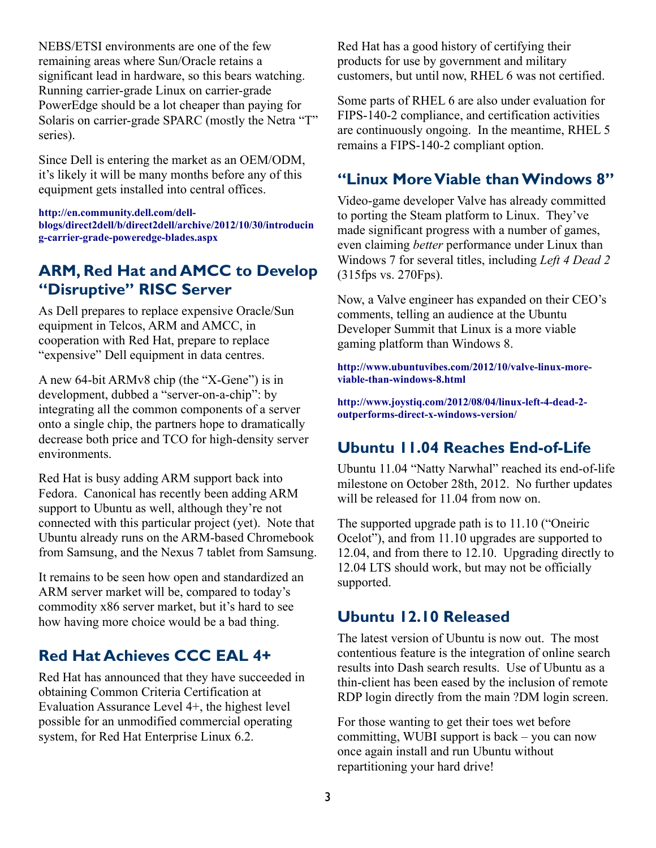NEBS/ETSI environments are one of the few remaining areas where Sun/Oracle retains a significant lead in hardware, so this bears watching. Running carrier-grade Linux on carrier-grade PowerEdge should be a lot cheaper than paying for Solaris on carrier-grade SPARC (mostly the Netra "T" series).

Since Dell is entering the market as an OEM/ODM, it's likely it will be many months before any of this equipment gets installed into central offices.

**[http://en.community.dell.com/dell](http://en.community.dell.com/dell-blogs/direct2dell/b/direct2dell/archive/2012/10/30/introducing-carrier-grade-poweredge-blades.aspx)[blogs/direct2dell/b/direct2dell/archive/2012/10/30/introducin](http://en.community.dell.com/dell-blogs/direct2dell/b/direct2dell/archive/2012/10/30/introducing-carrier-grade-poweredge-blades.aspx) [g-carrier-grade-poweredge-blades.aspx](http://en.community.dell.com/dell-blogs/direct2dell/b/direct2dell/archive/2012/10/30/introducing-carrier-grade-poweredge-blades.aspx)**

### **ARM, Red Hat and AMCC to Develop "Disruptive" RISC Server**

As Dell prepares to replace expensive Oracle/Sun equipment in Telcos, ARM and AMCC, in cooperation with Red Hat, prepare to replace "expensive" Dell equipment in data centres.

A new 64-bit ARMv8 chip (the "X-Gene") is in development, dubbed a "server-on-a-chip": by integrating all the common components of a server onto a single chip, the partners hope to dramatically decrease both price and TCO for high-density server environments.

Red Hat is busy adding ARM support back into Fedora. Canonical has recently been adding ARM support to Ubuntu as well, although they're not connected with this particular project (yet). Note that Ubuntu already runs on the ARM-based Chromebook from Samsung, and the Nexus 7 tablet from Samsung.

It remains to be seen how open and standardized an ARM server market will be, compared to today's commodity x86 server market, but it's hard to see how having more choice would be a bad thing.

# **Red Hat Achieves CCC EAL 4+**

Red Hat has announced that they have succeeded in obtaining Common Criteria Certification at Evaluation Assurance Level 4+, the highest level possible for an unmodified commercial operating system, for Red Hat Enterprise Linux 6.2.

Red Hat has a good history of certifying their products for use by government and military customers, but until now, RHEL 6 was not certified.

Some parts of RHEL 6 are also under evaluation for FIPS-140-2 compliance, and certification activities are continuously ongoing. In the meantime, RHEL 5 remains a FIPS-140-2 compliant option.

## **"Linux MoreViable thanWindows 8"**

Video-game developer Valve has already committed to porting the Steam platform to Linux. They've made significant progress with a number of games, even claiming *better* performance under Linux than Windows 7 for several titles, including *Left 4 Dead 2* (315fps vs. 270Fps).

Now, a Valve engineer has expanded on their CEO's comments, telling an audience at the Ubuntu Developer Summit that Linux is a more viable gaming platform than Windows 8.

**[http://www.ubuntuvibes.com/2012/10/valve-linux-more](http://www.ubuntuvibes.com/2012/10/valve-linux-more-viable-than-windows-8.html)[viable-than-windows-8.html](http://www.ubuntuvibes.com/2012/10/valve-linux-more-viable-than-windows-8.html)**

**[http://www.joystiq.com/2012/08/04/linux-left-4-dead-2](http://www.joystiq.com/2012/08/04/linux-left-4-dead-2-outperforms-direct-x-windows-version/) [outperforms-direct-x-windows-version/](http://www.joystiq.com/2012/08/04/linux-left-4-dead-2-outperforms-direct-x-windows-version/)**

# **Ubuntu 11.04 Reaches End-of-Life**

Ubuntu 11.04 "Natty Narwhal" reached its end-of-life milestone on October 28th, 2012. No further updates will be released for 11.04 from now on.

The supported upgrade path is to 11.10 ("Oneiric Ocelot"), and from 11.10 upgrades are supported to 12.04, and from there to 12.10. Upgrading directly to 12.04 LTS should work, but may not be officially supported.

## **Ubuntu 12.10 Released**

The latest version of Ubuntu is now out. The most contentious feature is the integration of online search results into Dash search results. Use of Ubuntu as a thin-client has been eased by the inclusion of remote RDP login directly from the main ?DM login screen.

For those wanting to get their toes wet before committing, WUBI support is back – you can now once again install and run Ubuntu without repartitioning your hard drive!